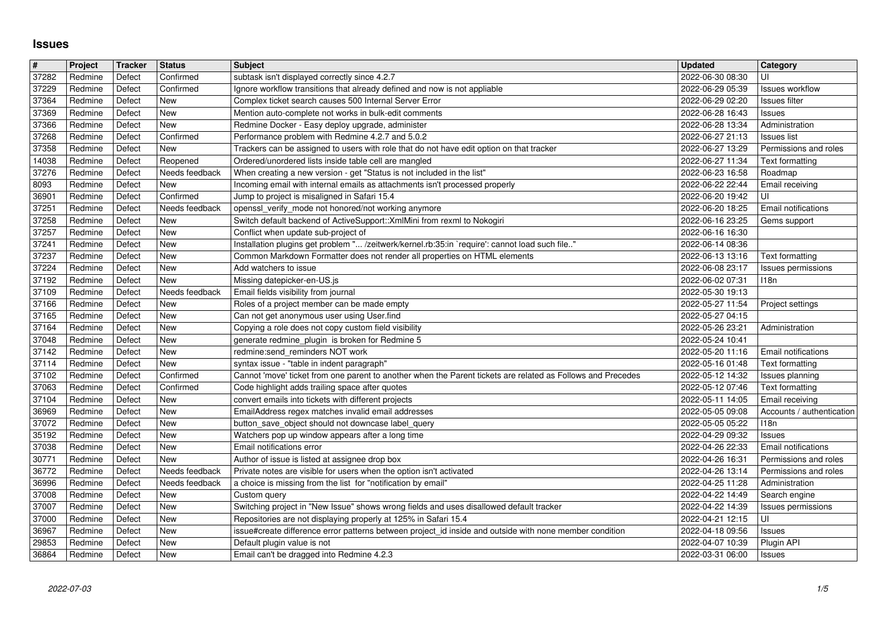## **Issues**

| $\pmb{\sharp}$ | Project            | <b>Tracker</b>   | <b>Status</b>              | <b>Subject</b>                                                                                                                                                              | <b>Updated</b>                       | Category                                       |
|----------------|--------------------|------------------|----------------------------|-----------------------------------------------------------------------------------------------------------------------------------------------------------------------------|--------------------------------------|------------------------------------------------|
| 37282          | Redmine            | Defect           | Confirmed                  | subtask isn't displayed correctly since 4.2.7                                                                                                                               | 2022-06-30 08:30                     | UI                                             |
| 37229          | Redmine            | Defect<br>Defect | Confirmed<br>New           | Ignore workflow transitions that already defined and now is not appliable                                                                                                   | 2022-06-29 05:39                     | <b>Issues workflow</b>                         |
| 37364<br>37369 | Redmine<br>Redmine | Defect           | New                        | Complex ticket search causes 500 Internal Server Error<br>Mention auto-complete not works in bulk-edit comments                                                             | 2022-06-29 02:20<br>2022-06-28 16:43 | Issues filter<br>Issues                        |
| 37366          | Redmine            | Defect           | New                        | Redmine Docker - Easy deploy upgrade, administer                                                                                                                            | 2022-06-28 13:34                     | Administration                                 |
| 37268          | Redmine            | Defect           | Confirmed                  | Performance problem with Redmine 4.2.7 and 5.0.2                                                                                                                            | 2022-06-27 21:13                     | <b>Issues</b> list                             |
| 37358          | Redmine            | Defect           | New                        | Trackers can be assigned to users with role that do not have edit option on that tracker                                                                                    | 2022-06-27 13:29                     | Permissions and roles                          |
| 14038<br>37276 | Redmine<br>Redmine | Defect<br>Defect | Reopened<br>Needs feedback | Ordered/unordered lists inside table cell are mangled<br>When creating a new version - get "Status is not included in the list"                                             | 2022-06-27 11:34<br>2022-06-23 16:58 | Text formatting<br>Roadmap                     |
| 8093           | Redmine            | Defect           | New                        | Incoming email with internal emails as attachments isn't processed properly                                                                                                 | 2022-06-22 22:44                     | Email receiving                                |
| 36901          | Redmine            | Defect           | Confirmed                  | Jump to project is misaligned in Safari 15.4                                                                                                                                | 2022-06-20 19:42                     | UI                                             |
| $\sqrt{37251}$ | Redmine            | Defect           | Needs feedback             | openssl_verify_mode not honored/not working anymore                                                                                                                         | 2022-06-20 18:25                     | Email notifications                            |
| 37258          | Redmine            | Defect           | New                        | Switch default backend of ActiveSupport:: XmlMini from rexml to Nokogiri                                                                                                    | 2022-06-16 23:25                     | Gems support                                   |
| 37257          | Redmine            | Defect           | New<br>New                 | Conflict when update sub-project of                                                                                                                                         | 2022-06-16 16:30                     |                                                |
| 37241<br>37237 | Redmine<br>Redmine | Defect<br>Defect | New                        | Installation plugins get problem " /zeitwerk/kernel.rb:35:in `require': cannot load such file"<br>Common Markdown Formatter does not render all properties on HTML elements | 2022-06-14 08:36<br>2022-06-13 13:16 | Text formatting                                |
| 37224          | Redmine            | Defect           | New                        | Add watchers to issue                                                                                                                                                       | 2022-06-08 23:17                     | Issues permissions                             |
| 37192          | Redmine            | Defect           | New                        | Missing datepicker-en-US.js                                                                                                                                                 | 2022-06-02 07:31                     | 118n                                           |
| 37109          | Redmine            | Defect           | Needs feedback             | Email fields visibility from journal                                                                                                                                        | 2022-05-30 19:13                     |                                                |
| 37166          | Redmine            | Defect           | New                        | Roles of a project member can be made empty                                                                                                                                 | 2022-05-27 11:54                     | Project settings                               |
| 37165<br>37164 | Redmine<br>Redmine | Defect<br>Defect | New<br>New                 | Can not get anonymous user using User.find<br>Copying a role does not copy custom field visibility                                                                          | 2022-05-27 04:15<br>2022-05-26 23:21 | Administration                                 |
| 37048          | Redmine            | Defect           | New                        | generate redmine_plugin is broken for Redmine 5                                                                                                                             | 2022-05-24 10:41                     |                                                |
| 37142          | Redmine            | Defect           | New                        | redmine:send_reminders NOT work                                                                                                                                             | 2022-05-20 11:16                     | Email notifications                            |
| 37114          | Redmine            | Defect           | New                        | syntax issue - "table in indent paragraph"                                                                                                                                  | 2022-05-16 01:48                     | Text formatting                                |
| 37102          | Redmine            | Defect           | Confirmed                  | Cannot 'move' ticket from one parent to another when the Parent tickets are related as Follows and Precedes                                                                 | 2022-05-12 14:32                     | Issues planning                                |
| 37063<br>37104 | Redmine<br>Redmine | Defect<br>Defect | Confirmed<br>New           | Code highlight adds trailing space after quotes<br>convert emails into tickets with different projects                                                                      | 2022-05-12 07:46<br>2022-05-11 14:05 | Text formatting<br>Email receiving             |
| 36969          | Redmine            | Defect           | New                        | EmailAddress regex matches invalid email addresses                                                                                                                          | 2022-05-05 09:08                     | Accounts / authentication                      |
| 37072          | Redmine            | Defect           | New                        | button_save_object should not downcase label_query                                                                                                                          | 2022-05-05 05:22                     | 118n                                           |
| 35192          | Redmine            | Defect           | New                        | Watchers pop up window appears after a long time                                                                                                                            | 2022-04-29 09:32                     | <b>Issues</b>                                  |
| 37038          | Redmine            | Defect           | New                        | Email notifications error                                                                                                                                                   | 2022-04-26 22:33                     | Email notifications                            |
| 30771<br>36772 | Redmine<br>Redmine | Defect<br>Defect | New<br>Needs feedback      | Author of issue is listed at assignee drop box<br>Private notes are visible for users when the option isn't activated                                                       | 2022-04-26 16:31<br>2022-04-26 13:14 | Permissions and roles<br>Permissions and roles |
| 36996          | Redmine            | Defect           | Needs feedback             | a choice is missing from the list for "notification by email"                                                                                                               | 2022-04-25 11:28                     | Administration                                 |
| 37008          | Redmine            | Defect           | New                        | Custom query                                                                                                                                                                | 2022-04-22 14:49                     | Search engine                                  |
| 37007          | Redmine            | Defect           | New                        | Switching project in "New Issue" shows wrong fields and uses disallowed default tracker                                                                                     | 2022-04-22 14:39                     | Issues permissions                             |
| 37000          | Redmine            | Defect           | New                        | Repositories are not displaying properly at 125% in Safari 15.4                                                                                                             | 2022-04-21 12:15                     | UI                                             |
| 36967<br>29853 | Redmine            | Defect<br>Defect | New<br>New                 | issue#create difference error patterns between project_id inside and outside with none member condition                                                                     | 2022-04-18 09:56   Issues            |                                                |
| 36864          | Redmine<br>Redmine | Defect           | New                        | Default plugin value is not<br>Email can't be dragged into Redmine 4.2.3                                                                                                    | 2022-04-07 10:39<br>2022-03-31 06:00 | Plugin API<br><b>Issues</b>                    |
| 2022-07-03     |                    |                  |                            |                                                                                                                                                                             |                                      |                                                |
|                |                    |                  |                            |                                                                                                                                                                             |                                      |                                                |
|                |                    |                  |                            |                                                                                                                                                                             |                                      |                                                |
|                |                    |                  |                            |                                                                                                                                                                             |                                      |                                                |
|                |                    |                  |                            |                                                                                                                                                                             |                                      |                                                |
|                |                    |                  |                            |                                                                                                                                                                             |                                      |                                                |
|                |                    |                  |                            |                                                                                                                                                                             |                                      |                                                |
|                |                    |                  |                            |                                                                                                                                                                             |                                      |                                                |
|                |                    |                  |                            |                                                                                                                                                                             |                                      |                                                |
|                |                    |                  |                            |                                                                                                                                                                             |                                      |                                                |
|                |                    |                  |                            |                                                                                                                                                                             |                                      |                                                |
|                |                    |                  |                            |                                                                                                                                                                             |                                      |                                                |
|                |                    |                  |                            |                                                                                                                                                                             |                                      |                                                |
|                |                    |                  |                            |                                                                                                                                                                             |                                      |                                                |
|                |                    |                  |                            |                                                                                                                                                                             |                                      |                                                |
|                |                    |                  |                            |                                                                                                                                                                             |                                      |                                                |
|                |                    |                  |                            |                                                                                                                                                                             |                                      |                                                |
|                |                    |                  |                            |                                                                                                                                                                             |                                      |                                                |
|                |                    |                  |                            |                                                                                                                                                                             |                                      |                                                |
|                |                    |                  |                            |                                                                                                                                                                             |                                      |                                                |
|                |                    |                  |                            |                                                                                                                                                                             |                                      |                                                |
|                |                    |                  |                            |                                                                                                                                                                             |                                      |                                                |
|                |                    |                  |                            |                                                                                                                                                                             |                                      |                                                |
|                |                    |                  |                            |                                                                                                                                                                             |                                      |                                                |
|                |                    |                  |                            |                                                                                                                                                                             |                                      |                                                |
|                |                    |                  |                            |                                                                                                                                                                             |                                      |                                                |
|                |                    |                  |                            |                                                                                                                                                                             |                                      |                                                |
|                |                    |                  |                            |                                                                                                                                                                             |                                      |                                                |
|                |                    |                  |                            |                                                                                                                                                                             |                                      |                                                |
|                |                    |                  |                            |                                                                                                                                                                             |                                      |                                                |
|                |                    |                  |                            |                                                                                                                                                                             |                                      |                                                |
|                |                    |                  |                            |                                                                                                                                                                             |                                      |                                                |
|                |                    |                  |                            |                                                                                                                                                                             |                                      |                                                |
|                |                    |                  |                            |                                                                                                                                                                             |                                      |                                                |
|                |                    |                  |                            |                                                                                                                                                                             |                                      |                                                |
|                |                    |                  |                            |                                                                                                                                                                             |                                      |                                                |
|                |                    |                  |                            |                                                                                                                                                                             |                                      |                                                |
|                |                    |                  |                            |                                                                                                                                                                             |                                      |                                                |
|                |                    |                  |                            |                                                                                                                                                                             |                                      |                                                |
|                |                    |                  |                            |                                                                                                                                                                             |                                      |                                                |
|                |                    |                  |                            |                                                                                                                                                                             |                                      |                                                |
|                |                    |                  |                            |                                                                                                                                                                             |                                      |                                                |
|                |                    |                  |                            |                                                                                                                                                                             |                                      |                                                |
|                |                    |                  |                            |                                                                                                                                                                             |                                      |                                                |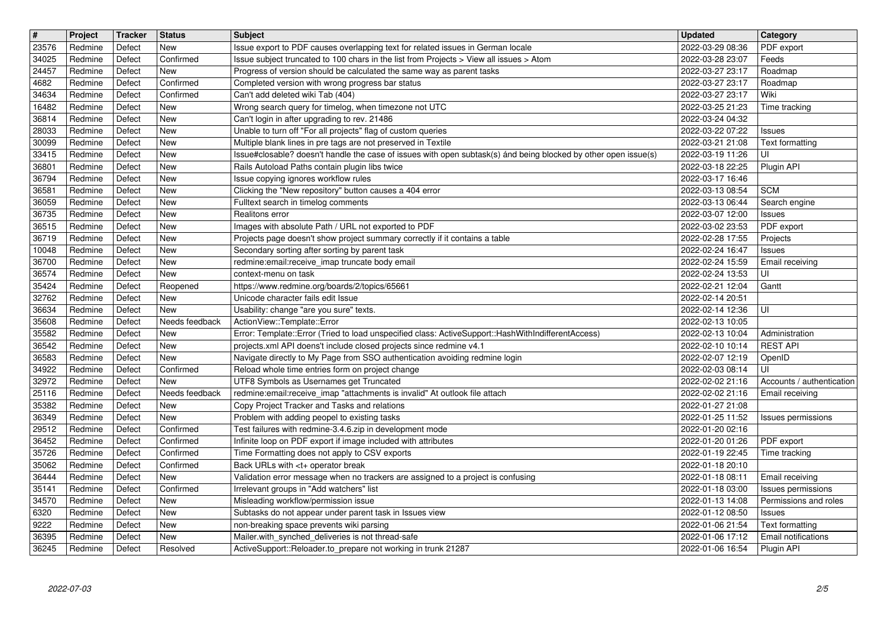| $\overline{\mathbf{t}}$ | Project            | Tracker          | <b>Status</b>            | <b>Subject</b>                                                                                                                                                             | <b>Updated</b>                       | Category                                                     |
|-------------------------|--------------------|------------------|--------------------------|----------------------------------------------------------------------------------------------------------------------------------------------------------------------------|--------------------------------------|--------------------------------------------------------------|
| 23576<br>34025          | Redmine<br>Redmine | Defect<br>Defect | New<br>Confirmed         | Issue export to PDF causes overlapping text for related issues in German locale<br>Issue subject truncated to 100 chars in the list from Projects > View all issues > Atom | 2022-03-29 08:36<br>2022-03-28 23:07 | PDF export<br>Feeds                                          |
| 24457                   | Redmine            | Defect           | New                      | Progress of version should be calculated the same way as parent tasks                                                                                                      | 2022-03-27 23:17                     | Roadmap                                                      |
| 4682<br>34634           | Redmine<br>Redmine | Defect<br>Defect | Confirmed<br>Confirmed   | Completed version with wrong progress bar status<br>Can't add deleted wiki Tab (404)                                                                                       | 2022-03-27 23:17<br>2022-03-27 23:17 | Roadmap<br>Wiki                                              |
| 16482                   | Redmine            | Defect           | <b>New</b>               | Wrong search query for timelog, when timezone not UTC                                                                                                                      | 2022-03-25 21:23                     | Time tracking                                                |
| 36814<br>28033          | Redmine<br>Redmine | Defect<br>Defect | New<br><b>New</b>        | Can't login in after upgrading to rev. 21486<br>Unable to turn off "For all projects" flag of custom queries                                                               | 2022-03-24 04:32<br>2022-03-22 07:22 | <b>Issues</b>                                                |
| 30099                   | Redmine            | Defect           | <b>New</b>               | Multiple blank lines in pre tags are not preserved in Textile                                                                                                              | 2022-03-21 21:08                     | Text formatting                                              |
| 33415                   | Redmine            | Defect<br>Defect | New<br><b>New</b>        | Issue#closable? doesn't handle the case of issues with open subtask(s) ánd being blocked by other open issue(s)                                                            | 2022-03-19 11:26                     | UI                                                           |
| 36801<br>36794          | Redmine<br>Redmine | Defect           | <b>New</b>               | Rails Autoload Paths contain plugin libs twice<br>Issue copying ignores workflow rules                                                                                     | 2022-03-18 22:25<br>2022-03-17 16:46 | Plugin API                                                   |
| 36581                   | Redmine            | Defect           | <b>New</b>               | Clicking the "New repository" button causes a 404 error                                                                                                                    | 2022-03-13 08:54                     | <b>SCM</b>                                                   |
| 36059<br>36735          | Redmine<br>Redmine | Defect<br>Defect | <b>New</b><br><b>New</b> | Fulltext search in timelog comments<br>Realitons error                                                                                                                     | 2022-03-13 06:44<br>2022-03-07 12:00 | Search engine<br><b>Issues</b>                               |
| 36515                   | Redmine            | Defect           | New                      | Images with absolute Path / URL not exported to PDF                                                                                                                        | 2022-03-02 23:53                     | PDF export                                                   |
| 36719<br>10048          | Redmine<br>Redmine | Defect<br>Defect | New<br><b>New</b>        | Projects page doesn't show project summary correctly if it contains a table<br>Secondary sorting after sorting by parent task                                              | 2022-02-28 17:55<br>2022-02-24 16:47 | Projects<br><b>Issues</b>                                    |
| 36700                   | Redmine            | Defect           | <b>New</b>               | redmine:email:receive_imap truncate body email                                                                                                                             | 2022-02-24 15:59                     | Email receiving                                              |
| 36574                   | Redmine            | Defect           | <b>New</b>               | context-menu on task                                                                                                                                                       | 2022-02-24 13:53                     | UI                                                           |
| 35424<br>32762          | Redmine<br>Redmine | Defect<br>Defect | Reopened<br><b>New</b>   | https://www.redmine.org/boards/2/topics/65661<br>Unicode character fails edit Issue                                                                                        | 2022-02-21 12:04<br>2022-02-14 20:51 | Gantt                                                        |
| 36634                   | Redmine            | Defect           | <b>New</b>               | Usability: change "are you sure" texts.                                                                                                                                    | 2022-02-14 12:36                     | UI                                                           |
| 35608<br>35582          | Redmine<br>Redmine | Defect<br>Defect | Needs feedback<br>New    | ActionView::Template::Error<br>Error: Template::Error (Tried to load unspecified class: ActiveSupport::HashWithIndifferentAccess)                                          | 2022-02-13 10:05<br>2022-02-13 10:04 | Administration                                               |
| 36542                   | Redmine            | Defect           | New                      | projects.xml API doens't include closed projects since redmine v4.1                                                                                                        | 2022-02-10 10:14                     | <b>REST API</b>                                              |
| 36583<br>34922          | Redmine<br>Redmine | Defect<br>Defect | <b>New</b><br>Confirmed  | Navigate directly to My Page from SSO authentication avoiding redmine login<br>Reload whole time entries form on project change                                            | 2022-02-07 12:19<br>2022-02-03 08:14 | OpenID<br>UI                                                 |
| 32972                   | Redmine            | Defect           | <b>New</b>               | UTF8 Symbols as Usernames get Truncated                                                                                                                                    | 2022-02-02 21:16                     | Accounts / authentication                                    |
| 25116                   | Redmine            | Defect           | Needs feedback           | redmine:email:receive_imap "attachments is invalid" At outlook file attach                                                                                                 | 2022-02-02 21:16                     | Email receiving                                              |
| 35382<br>36349          | Redmine<br>Redmine | Defect<br>Defect | <b>New</b><br><b>New</b> | Copy Project Tracker and Tasks and relations<br>Problem with adding peopel to existing tasks                                                                               | 2022-01-27 21:08<br>2022-01-25 11:52 | Issues permissions                                           |
| 29512                   | Redmine            | Defect           | Confirmed                | Test failures with redmine-3.4.6.zip in development mode                                                                                                                   | 2022-01-20 02:16                     |                                                              |
| 36452<br>35726          | Redmine<br>Redmine | Defect<br>Defect | Confirmed<br>Confirmed   | Infinite loop on PDF export if image included with attributes<br>Time Formatting does not apply to CSV exports                                                             | 2022-01-20 01:26<br>2022-01-19 22:45 | PDF export<br>Time tracking                                  |
| 35062                   | Redmine            | Defect           | Confirmed                | Back URLs with <t+ break<="" operator="" td=""><td>2022-01-18 20:10</td><td></td></t+>                                                                                     | 2022-01-18 20:10                     |                                                              |
| 36444                   | Redmine            | Defect           | New                      | Validation error message when no trackers are assigned to a project is confusing                                                                                           | 2022-01-18 08:11                     | Email receiving                                              |
| 35141<br>34570          | Redmine<br>Redmine | Defect<br>Defect | Confirmed<br>New         | Irrelevant groups in "Add watchers" list<br>Misleading workflow/permission issue                                                                                           | 2022-01-18 03:00                     | Issues permissions<br>2022-01-13 14:08 Permissions and roles |
| 6320                    | Redmine            | Defect           | <b>New</b>               | Subtasks do not appear under parent task in Issues view                                                                                                                    | 2022-01-12 08:50                     | <b>Issues</b>                                                |
| 9222<br>36395           | Redmine<br>Redmine | Defect<br>Defect | New<br>New               | non-breaking space prevents wiki parsing<br>Mailer.with_synched_deliveries is not thread-safe                                                                              | 2022-01-06 21:54<br>2022-01-06 17:12 | Text formatting<br>Email notifications                       |
| 36245                   | Redmine            | Defect           | Resolved                 | ActiveSupport::Reloader.to_prepare not working in trunk 21287                                                                                                              | 2022-01-06 16:54                     | Plugin API                                                   |
|                         |                    |                  |                          |                                                                                                                                                                            |                                      |                                                              |
|                         |                    |                  |                          |                                                                                                                                                                            |                                      |                                                              |
|                         |                    |                  |                          |                                                                                                                                                                            |                                      |                                                              |
|                         |                    |                  |                          |                                                                                                                                                                            |                                      |                                                              |
|                         |                    |                  |                          |                                                                                                                                                                            |                                      |                                                              |
|                         |                    |                  |                          |                                                                                                                                                                            |                                      |                                                              |
|                         |                    |                  |                          |                                                                                                                                                                            |                                      |                                                              |
|                         |                    |                  |                          |                                                                                                                                                                            |                                      |                                                              |
|                         |                    |                  |                          |                                                                                                                                                                            |                                      |                                                              |
|                         |                    |                  |                          |                                                                                                                                                                            |                                      |                                                              |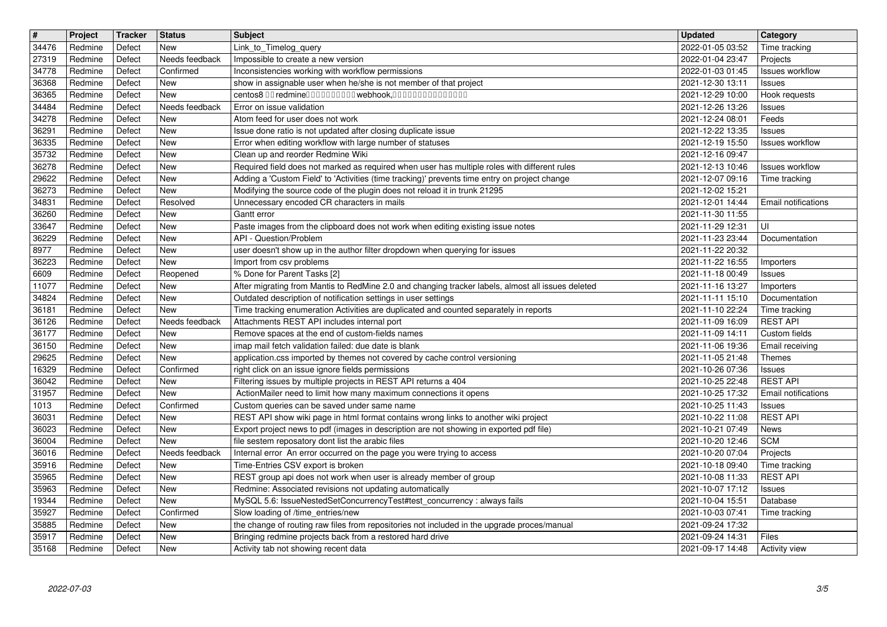| Redmine<br>Defect<br>New<br>Link_to_Timelog_query<br>2022-01-05 03:52<br>Time tracking<br>Redmine<br>Defect<br>Needs feedback<br>Impossible to create a new version<br>2022-01-04 23:47<br>Projects<br>34778<br>Confirmed<br>Inconsistencies working with workflow permissions<br>2022-01-03 01:45<br>Redmine<br>Defect<br>Issues workflow<br>36368<br>New<br>show in assignable user when he/she is not member of that project<br>2021-12-30 13:11<br>Redmine<br>Defect<br><b>Issues</b><br>36365<br>centos8 00 redmine0000000000 webhook,000000000000000<br>Redmine<br>Defect<br>New<br>2021-12-29 10:00<br>Hook requests<br>34484<br>Error on issue validation<br>2021-12-26 13:26<br>Redmine<br>Defect<br>Needs feedback<br><b>Issues</b><br>34278<br>Redmine<br>Defect<br>New<br>Atom feed for user does not work<br>2021-12-24 08:01<br>Feeds<br>36291<br>New<br>Issue done ratio is not updated after closing duplicate issue<br>Redmine<br>Defect<br>2021-12-22 13:35<br><b>Issues</b><br>36335<br>New<br>Error when editing workflow with large number of statuses<br>Redmine<br>Defect<br>2021-12-19 15:50<br><b>Issues workflow</b><br>New<br>Clean up and reorder Redmine Wiki<br>35732<br>Redmine<br>Defect<br>2021-12-16 09:47<br>36278<br>Defect<br>New<br>Required field does not marked as required when user has multiple roles with different rules<br>Redmine<br>2021-12-13 10:46<br><b>Issues workflow</b><br>29622<br>Adding a 'Custom Field' to 'Activities (time tracking)' prevents time entry on project change<br>Redmine<br>Defect<br><b>New</b><br>2021-12-07 09:16<br>Time tracking<br>36273<br>New<br>Modifying the source code of the plugin does not reload it in trunk 21295<br>Redmine<br>Defect<br>2021-12-02 15:21<br>Unnecessary encoded CR characters in mails<br>34831<br>Redmine<br>Defect<br>Resolved<br>2021-12-01 14:44<br>Email notifications<br>Gantt error<br>36260<br>Redmine<br>Defect<br>New<br>2021-11-30 11:55<br>33647<br>Redmine<br>New<br>Paste images from the clipboard does not work when editing existing issue notes<br>Defect<br>2021-11-29 12:31<br>UI<br>36229<br>API - Question/Problem<br>Redmine<br>Defect<br>New<br>2021-11-23 23:44<br>Documentation<br>8977<br>New<br>Redmine<br>Defect<br>user doesn't show up in the author filter dropdown when querying for issues<br>2021-11-22 20:32<br>New<br>36223<br>Redmine<br>Defect<br>2021-11-22 16:55<br>Import from csv problems<br>Importers<br>6609<br>% Done for Parent Tasks [2]<br>Redmine<br>Defect<br>Reopened<br>2021-11-18 00:49<br><b>Issues</b><br>After migrating from Mantis to RedMine 2.0 and changing tracker labels, almost all issues deleted<br>2021-11-16 13:27<br>11077<br>Redmine<br>Defect<br>New<br>Importers<br>New<br>Outdated description of notification settings in user settings<br>34824<br>Redmine<br>Defect<br>2021-11-11 15:10<br>Documentation<br>Time tracking enumeration Activities are duplicated and counted separately in reports<br>36181<br>Defect<br>New<br>Redmine<br>2021-11-10 22:24<br>Time tracking<br>Attachments REST API includes internal port<br><b>REST API</b><br>Redmine<br>Defect<br>Needs feedback<br>2021-11-09 16:09<br>36177<br>Remove spaces at the end of custom-fields names<br>Custom fields<br>Redmine<br>Defect<br>New<br>2021-11-09 14:11<br>36150<br><b>New</b><br>imap mail fetch validation failed: due date is blank<br>Redmine<br>Defect<br>2021-11-06 19:36<br>Email receiving<br>29625<br>New<br>Redmine<br>Defect<br>application.css imported by themes not covered by cache control versioning<br>2021-11-05 21:48<br>Themes<br>Confirmed<br>right click on an issue ignore fields permissions<br>16329<br>Redmine<br>Defect<br>2021-10-26 07:36<br>Issues<br>Filtering issues by multiple projects in REST API returns a 404<br><b>REST API</b><br>36042<br>2021-10-25 22:48<br>Redmine<br>Defect<br>New<br>ActionMailer need to limit how many maximum connections it opens<br>31957<br>Defect<br>New<br>2021-10-25 17:32<br>Redmine<br>Email notifications<br>Confirmed<br>Custom queries can be saved under same name<br>2021-10-25 11:43<br>1013<br>Redmine<br>Defect<br>Issues<br>REST API show wiki page in html format contains wrong links to another wiki project<br><b>REST API</b><br>36031<br>New<br>Redmine<br>Defect<br>2021-10-22 11:08<br>Export project news to pdf (images in description are not showing in exported pdf file)<br>36023<br>Redmine<br>Defect<br>New<br>2021-10-21 07:49<br>News<br>file sestem reposatory dont list the arabic files<br>36004<br>New<br>2021-10-20 12:46<br><b>SCM</b><br>Redmine<br>Defect<br>Internal error An error occurred on the page you were trying to access<br>2021-10-20 07:04<br>36016<br>Redmine<br>Defect<br>Needs feedback<br>Projects<br>New<br>Time-Entries CSV export is broken<br>35916<br>Redmine<br>Defect<br>2021-10-18 09:40<br>Time tracking<br>REST group api does not work when user is already member of group<br>35965<br>New<br><b>REST API</b><br>Redmine<br>Defect<br>2021-10-08 11:33<br>35963<br>Redmine: Associated revisions not updating automatically<br>2021-10-07 17:12<br>Redmine<br>Defect<br>New<br><b>Issues</b><br>Defect<br>Redmine<br>New<br>MySQL 5.6: IssueNestedSetConcurrencyTest#test_concurrency : always fails<br>2021-10-04 15:51<br>Database<br>35927<br>Defect<br>Confirmed<br>Redmine<br>Slow loading of /time_entries/new<br>2021-10-03 07:41<br>Time tracking<br>the change of routing raw files from repositories not included in the upgrade proces/manual<br>35885<br>2021-09-24 17:32<br>Redmine<br>Defect<br>New<br>35917<br>Bringing redmine projects back from a restored hard drive<br>Redmine<br>Defect<br>New<br>2021-09-24 14:31<br>Files<br>35168<br>Activity tab not showing recent data<br>2021-09-17 14:48<br>Defect<br>New<br>Activity view<br>Redmine<br>3/5<br>2022-07-03 | $\overline{\boldsymbol{H}}$ | Project | Tracker | <b>Status</b> | <b>Subject</b> | <b>Updated</b> | Category |
|--------------------------------------------------------------------------------------------------------------------------------------------------------------------------------------------------------------------------------------------------------------------------------------------------------------------------------------------------------------------------------------------------------------------------------------------------------------------------------------------------------------------------------------------------------------------------------------------------------------------------------------------------------------------------------------------------------------------------------------------------------------------------------------------------------------------------------------------------------------------------------------------------------------------------------------------------------------------------------------------------------------------------------------------------------------------------------------------------------------------------------------------------------------------------------------------------------------------------------------------------------------------------------------------------------------------------------------------------------------------------------------------------------------------------------------------------------------------------------------------------------------------------------------------------------------------------------------------------------------------------------------------------------------------------------------------------------------------------------------------------------------------------------------------------------------------------------------------------------------------------------------------------------------------------------------------------------------------------------------------------------------------------------------------------------------------------------------------------------------------------------------------------------------------------------------------------------------------------------------------------------------------------------------------------------------------------------------------------------------------------------------------------------------------------------------------------------------------------------------------------------------------------------------------------------------------------------------------------------------------------------------------------------------------------------------------------------------------------------------------------------------------------------------------------------------------------------------------------------------------------------------------------------------------------------------------------------------------------------------------------------------------------------------------------------------------------------------------------------------------------------------------------------------------------------------------------------------------------------------------------------------------------------------------------------------------------------------------------------------------------------------------------------------------------------------------------------------------------------------------------------------------------------------------------------------------------------------------------------------------------------------------------------------------------------------------------------------------------------------------------------------------------------------------------------------------------------------------------------------------------------------------------------------------------------------------------------------------------------------------------------------------------------------------------------------------------------------------------------------------------------------------------------------------------------------------------------------------------------------------------------------------------------------------------------------------------------------------------------------------------------------------------------------------------------------------------------------------------------------------------------------------------------------------------------------------------------------------------------------------------------------------------------------------------------------------------------------------------------------------------------------------------------------------------------------------------------------------------------------------------------------------------------------------------------------------------------------------------------------------------------------------------------------------------------------------------------------------------------------------------------------------------------------------------------------------------------------------------------------------------------------------------------------------------------------------------------------------------------------------------------------------------------------------------------------------------------------------------------------------------------------------------------------------------------------------------------------------------------------------------------------------------------------------------------------------------------------------------------------------------------------------------------------------------------------------------------------------------------------------------------------------------------------|-----------------------------|---------|---------|---------------|----------------|----------------|----------|
|                                                                                                                                                                                                                                                                                                                                                                                                                                                                                                                                                                                                                                                                                                                                                                                                                                                                                                                                                                                                                                                                                                                                                                                                                                                                                                                                                                                                                                                                                                                                                                                                                                                                                                                                                                                                                                                                                                                                                                                                                                                                                                                                                                                                                                                                                                                                                                                                                                                                                                                                                                                                                                                                                                                                                                                                                                                                                                                                                                                                                                                                                                                                                                                                                                                                                                                                                                                                                                                                                                                                                                                                                                                                                                                                                                                                                                                                                                                                                                                                                                                                                                                                                                                                                                                                                                                                                                                                                                                                                                                                                                                                                                                                                                                                                                                                                                                                                                                                                                                                                                                                                                                                                                                                                                                                                                                                                                                                                                                                                                                                                                                                                                                                                                                                                                                                                                                                                                              | 34476<br>27319              |         |         |               |                |                |          |
|                                                                                                                                                                                                                                                                                                                                                                                                                                                                                                                                                                                                                                                                                                                                                                                                                                                                                                                                                                                                                                                                                                                                                                                                                                                                                                                                                                                                                                                                                                                                                                                                                                                                                                                                                                                                                                                                                                                                                                                                                                                                                                                                                                                                                                                                                                                                                                                                                                                                                                                                                                                                                                                                                                                                                                                                                                                                                                                                                                                                                                                                                                                                                                                                                                                                                                                                                                                                                                                                                                                                                                                                                                                                                                                                                                                                                                                                                                                                                                                                                                                                                                                                                                                                                                                                                                                                                                                                                                                                                                                                                                                                                                                                                                                                                                                                                                                                                                                                                                                                                                                                                                                                                                                                                                                                                                                                                                                                                                                                                                                                                                                                                                                                                                                                                                                                                                                                                                              |                             |         |         |               |                |                |          |
|                                                                                                                                                                                                                                                                                                                                                                                                                                                                                                                                                                                                                                                                                                                                                                                                                                                                                                                                                                                                                                                                                                                                                                                                                                                                                                                                                                                                                                                                                                                                                                                                                                                                                                                                                                                                                                                                                                                                                                                                                                                                                                                                                                                                                                                                                                                                                                                                                                                                                                                                                                                                                                                                                                                                                                                                                                                                                                                                                                                                                                                                                                                                                                                                                                                                                                                                                                                                                                                                                                                                                                                                                                                                                                                                                                                                                                                                                                                                                                                                                                                                                                                                                                                                                                                                                                                                                                                                                                                                                                                                                                                                                                                                                                                                                                                                                                                                                                                                                                                                                                                                                                                                                                                                                                                                                                                                                                                                                                                                                                                                                                                                                                                                                                                                                                                                                                                                                                              |                             |         |         |               |                |                |          |
|                                                                                                                                                                                                                                                                                                                                                                                                                                                                                                                                                                                                                                                                                                                                                                                                                                                                                                                                                                                                                                                                                                                                                                                                                                                                                                                                                                                                                                                                                                                                                                                                                                                                                                                                                                                                                                                                                                                                                                                                                                                                                                                                                                                                                                                                                                                                                                                                                                                                                                                                                                                                                                                                                                                                                                                                                                                                                                                                                                                                                                                                                                                                                                                                                                                                                                                                                                                                                                                                                                                                                                                                                                                                                                                                                                                                                                                                                                                                                                                                                                                                                                                                                                                                                                                                                                                                                                                                                                                                                                                                                                                                                                                                                                                                                                                                                                                                                                                                                                                                                                                                                                                                                                                                                                                                                                                                                                                                                                                                                                                                                                                                                                                                                                                                                                                                                                                                                                              |                             |         |         |               |                |                |          |
|                                                                                                                                                                                                                                                                                                                                                                                                                                                                                                                                                                                                                                                                                                                                                                                                                                                                                                                                                                                                                                                                                                                                                                                                                                                                                                                                                                                                                                                                                                                                                                                                                                                                                                                                                                                                                                                                                                                                                                                                                                                                                                                                                                                                                                                                                                                                                                                                                                                                                                                                                                                                                                                                                                                                                                                                                                                                                                                                                                                                                                                                                                                                                                                                                                                                                                                                                                                                                                                                                                                                                                                                                                                                                                                                                                                                                                                                                                                                                                                                                                                                                                                                                                                                                                                                                                                                                                                                                                                                                                                                                                                                                                                                                                                                                                                                                                                                                                                                                                                                                                                                                                                                                                                                                                                                                                                                                                                                                                                                                                                                                                                                                                                                                                                                                                                                                                                                                                              |                             |         |         |               |                |                |          |
|                                                                                                                                                                                                                                                                                                                                                                                                                                                                                                                                                                                                                                                                                                                                                                                                                                                                                                                                                                                                                                                                                                                                                                                                                                                                                                                                                                                                                                                                                                                                                                                                                                                                                                                                                                                                                                                                                                                                                                                                                                                                                                                                                                                                                                                                                                                                                                                                                                                                                                                                                                                                                                                                                                                                                                                                                                                                                                                                                                                                                                                                                                                                                                                                                                                                                                                                                                                                                                                                                                                                                                                                                                                                                                                                                                                                                                                                                                                                                                                                                                                                                                                                                                                                                                                                                                                                                                                                                                                                                                                                                                                                                                                                                                                                                                                                                                                                                                                                                                                                                                                                                                                                                                                                                                                                                                                                                                                                                                                                                                                                                                                                                                                                                                                                                                                                                                                                                                              |                             |         |         |               |                |                |          |
|                                                                                                                                                                                                                                                                                                                                                                                                                                                                                                                                                                                                                                                                                                                                                                                                                                                                                                                                                                                                                                                                                                                                                                                                                                                                                                                                                                                                                                                                                                                                                                                                                                                                                                                                                                                                                                                                                                                                                                                                                                                                                                                                                                                                                                                                                                                                                                                                                                                                                                                                                                                                                                                                                                                                                                                                                                                                                                                                                                                                                                                                                                                                                                                                                                                                                                                                                                                                                                                                                                                                                                                                                                                                                                                                                                                                                                                                                                                                                                                                                                                                                                                                                                                                                                                                                                                                                                                                                                                                                                                                                                                                                                                                                                                                                                                                                                                                                                                                                                                                                                                                                                                                                                                                                                                                                                                                                                                                                                                                                                                                                                                                                                                                                                                                                                                                                                                                                                              |                             |         |         |               |                |                |          |
|                                                                                                                                                                                                                                                                                                                                                                                                                                                                                                                                                                                                                                                                                                                                                                                                                                                                                                                                                                                                                                                                                                                                                                                                                                                                                                                                                                                                                                                                                                                                                                                                                                                                                                                                                                                                                                                                                                                                                                                                                                                                                                                                                                                                                                                                                                                                                                                                                                                                                                                                                                                                                                                                                                                                                                                                                                                                                                                                                                                                                                                                                                                                                                                                                                                                                                                                                                                                                                                                                                                                                                                                                                                                                                                                                                                                                                                                                                                                                                                                                                                                                                                                                                                                                                                                                                                                                                                                                                                                                                                                                                                                                                                                                                                                                                                                                                                                                                                                                                                                                                                                                                                                                                                                                                                                                                                                                                                                                                                                                                                                                                                                                                                                                                                                                                                                                                                                                                              |                             |         |         |               |                |                |          |
|                                                                                                                                                                                                                                                                                                                                                                                                                                                                                                                                                                                                                                                                                                                                                                                                                                                                                                                                                                                                                                                                                                                                                                                                                                                                                                                                                                                                                                                                                                                                                                                                                                                                                                                                                                                                                                                                                                                                                                                                                                                                                                                                                                                                                                                                                                                                                                                                                                                                                                                                                                                                                                                                                                                                                                                                                                                                                                                                                                                                                                                                                                                                                                                                                                                                                                                                                                                                                                                                                                                                                                                                                                                                                                                                                                                                                                                                                                                                                                                                                                                                                                                                                                                                                                                                                                                                                                                                                                                                                                                                                                                                                                                                                                                                                                                                                                                                                                                                                                                                                                                                                                                                                                                                                                                                                                                                                                                                                                                                                                                                                                                                                                                                                                                                                                                                                                                                                                              |                             |         |         |               |                |                |          |
|                                                                                                                                                                                                                                                                                                                                                                                                                                                                                                                                                                                                                                                                                                                                                                                                                                                                                                                                                                                                                                                                                                                                                                                                                                                                                                                                                                                                                                                                                                                                                                                                                                                                                                                                                                                                                                                                                                                                                                                                                                                                                                                                                                                                                                                                                                                                                                                                                                                                                                                                                                                                                                                                                                                                                                                                                                                                                                                                                                                                                                                                                                                                                                                                                                                                                                                                                                                                                                                                                                                                                                                                                                                                                                                                                                                                                                                                                                                                                                                                                                                                                                                                                                                                                                                                                                                                                                                                                                                                                                                                                                                                                                                                                                                                                                                                                                                                                                                                                                                                                                                                                                                                                                                                                                                                                                                                                                                                                                                                                                                                                                                                                                                                                                                                                                                                                                                                                                              |                             |         |         |               |                |                |          |
|                                                                                                                                                                                                                                                                                                                                                                                                                                                                                                                                                                                                                                                                                                                                                                                                                                                                                                                                                                                                                                                                                                                                                                                                                                                                                                                                                                                                                                                                                                                                                                                                                                                                                                                                                                                                                                                                                                                                                                                                                                                                                                                                                                                                                                                                                                                                                                                                                                                                                                                                                                                                                                                                                                                                                                                                                                                                                                                                                                                                                                                                                                                                                                                                                                                                                                                                                                                                                                                                                                                                                                                                                                                                                                                                                                                                                                                                                                                                                                                                                                                                                                                                                                                                                                                                                                                                                                                                                                                                                                                                                                                                                                                                                                                                                                                                                                                                                                                                                                                                                                                                                                                                                                                                                                                                                                                                                                                                                                                                                                                                                                                                                                                                                                                                                                                                                                                                                                              |                             |         |         |               |                |                |          |
|                                                                                                                                                                                                                                                                                                                                                                                                                                                                                                                                                                                                                                                                                                                                                                                                                                                                                                                                                                                                                                                                                                                                                                                                                                                                                                                                                                                                                                                                                                                                                                                                                                                                                                                                                                                                                                                                                                                                                                                                                                                                                                                                                                                                                                                                                                                                                                                                                                                                                                                                                                                                                                                                                                                                                                                                                                                                                                                                                                                                                                                                                                                                                                                                                                                                                                                                                                                                                                                                                                                                                                                                                                                                                                                                                                                                                                                                                                                                                                                                                                                                                                                                                                                                                                                                                                                                                                                                                                                                                                                                                                                                                                                                                                                                                                                                                                                                                                                                                                                                                                                                                                                                                                                                                                                                                                                                                                                                                                                                                                                                                                                                                                                                                                                                                                                                                                                                                                              |                             |         |         |               |                |                |          |
|                                                                                                                                                                                                                                                                                                                                                                                                                                                                                                                                                                                                                                                                                                                                                                                                                                                                                                                                                                                                                                                                                                                                                                                                                                                                                                                                                                                                                                                                                                                                                                                                                                                                                                                                                                                                                                                                                                                                                                                                                                                                                                                                                                                                                                                                                                                                                                                                                                                                                                                                                                                                                                                                                                                                                                                                                                                                                                                                                                                                                                                                                                                                                                                                                                                                                                                                                                                                                                                                                                                                                                                                                                                                                                                                                                                                                                                                                                                                                                                                                                                                                                                                                                                                                                                                                                                                                                                                                                                                                                                                                                                                                                                                                                                                                                                                                                                                                                                                                                                                                                                                                                                                                                                                                                                                                                                                                                                                                                                                                                                                                                                                                                                                                                                                                                                                                                                                                                              |                             |         |         |               |                |                |          |
|                                                                                                                                                                                                                                                                                                                                                                                                                                                                                                                                                                                                                                                                                                                                                                                                                                                                                                                                                                                                                                                                                                                                                                                                                                                                                                                                                                                                                                                                                                                                                                                                                                                                                                                                                                                                                                                                                                                                                                                                                                                                                                                                                                                                                                                                                                                                                                                                                                                                                                                                                                                                                                                                                                                                                                                                                                                                                                                                                                                                                                                                                                                                                                                                                                                                                                                                                                                                                                                                                                                                                                                                                                                                                                                                                                                                                                                                                                                                                                                                                                                                                                                                                                                                                                                                                                                                                                                                                                                                                                                                                                                                                                                                                                                                                                                                                                                                                                                                                                                                                                                                                                                                                                                                                                                                                                                                                                                                                                                                                                                                                                                                                                                                                                                                                                                                                                                                                                              |                             |         |         |               |                |                |          |
|                                                                                                                                                                                                                                                                                                                                                                                                                                                                                                                                                                                                                                                                                                                                                                                                                                                                                                                                                                                                                                                                                                                                                                                                                                                                                                                                                                                                                                                                                                                                                                                                                                                                                                                                                                                                                                                                                                                                                                                                                                                                                                                                                                                                                                                                                                                                                                                                                                                                                                                                                                                                                                                                                                                                                                                                                                                                                                                                                                                                                                                                                                                                                                                                                                                                                                                                                                                                                                                                                                                                                                                                                                                                                                                                                                                                                                                                                                                                                                                                                                                                                                                                                                                                                                                                                                                                                                                                                                                                                                                                                                                                                                                                                                                                                                                                                                                                                                                                                                                                                                                                                                                                                                                                                                                                                                                                                                                                                                                                                                                                                                                                                                                                                                                                                                                                                                                                                                              |                             |         |         |               |                |                |          |
|                                                                                                                                                                                                                                                                                                                                                                                                                                                                                                                                                                                                                                                                                                                                                                                                                                                                                                                                                                                                                                                                                                                                                                                                                                                                                                                                                                                                                                                                                                                                                                                                                                                                                                                                                                                                                                                                                                                                                                                                                                                                                                                                                                                                                                                                                                                                                                                                                                                                                                                                                                                                                                                                                                                                                                                                                                                                                                                                                                                                                                                                                                                                                                                                                                                                                                                                                                                                                                                                                                                                                                                                                                                                                                                                                                                                                                                                                                                                                                                                                                                                                                                                                                                                                                                                                                                                                                                                                                                                                                                                                                                                                                                                                                                                                                                                                                                                                                                                                                                                                                                                                                                                                                                                                                                                                                                                                                                                                                                                                                                                                                                                                                                                                                                                                                                                                                                                                                              |                             |         |         |               |                |                |          |
|                                                                                                                                                                                                                                                                                                                                                                                                                                                                                                                                                                                                                                                                                                                                                                                                                                                                                                                                                                                                                                                                                                                                                                                                                                                                                                                                                                                                                                                                                                                                                                                                                                                                                                                                                                                                                                                                                                                                                                                                                                                                                                                                                                                                                                                                                                                                                                                                                                                                                                                                                                                                                                                                                                                                                                                                                                                                                                                                                                                                                                                                                                                                                                                                                                                                                                                                                                                                                                                                                                                                                                                                                                                                                                                                                                                                                                                                                                                                                                                                                                                                                                                                                                                                                                                                                                                                                                                                                                                                                                                                                                                                                                                                                                                                                                                                                                                                                                                                                                                                                                                                                                                                                                                                                                                                                                                                                                                                                                                                                                                                                                                                                                                                                                                                                                                                                                                                                                              | 36126                       |         |         |               |                |                |          |
|                                                                                                                                                                                                                                                                                                                                                                                                                                                                                                                                                                                                                                                                                                                                                                                                                                                                                                                                                                                                                                                                                                                                                                                                                                                                                                                                                                                                                                                                                                                                                                                                                                                                                                                                                                                                                                                                                                                                                                                                                                                                                                                                                                                                                                                                                                                                                                                                                                                                                                                                                                                                                                                                                                                                                                                                                                                                                                                                                                                                                                                                                                                                                                                                                                                                                                                                                                                                                                                                                                                                                                                                                                                                                                                                                                                                                                                                                                                                                                                                                                                                                                                                                                                                                                                                                                                                                                                                                                                                                                                                                                                                                                                                                                                                                                                                                                                                                                                                                                                                                                                                                                                                                                                                                                                                                                                                                                                                                                                                                                                                                                                                                                                                                                                                                                                                                                                                                                              |                             |         |         |               |                |                |          |
|                                                                                                                                                                                                                                                                                                                                                                                                                                                                                                                                                                                                                                                                                                                                                                                                                                                                                                                                                                                                                                                                                                                                                                                                                                                                                                                                                                                                                                                                                                                                                                                                                                                                                                                                                                                                                                                                                                                                                                                                                                                                                                                                                                                                                                                                                                                                                                                                                                                                                                                                                                                                                                                                                                                                                                                                                                                                                                                                                                                                                                                                                                                                                                                                                                                                                                                                                                                                                                                                                                                                                                                                                                                                                                                                                                                                                                                                                                                                                                                                                                                                                                                                                                                                                                                                                                                                                                                                                                                                                                                                                                                                                                                                                                                                                                                                                                                                                                                                                                                                                                                                                                                                                                                                                                                                                                                                                                                                                                                                                                                                                                                                                                                                                                                                                                                                                                                                                                              |                             |         |         |               |                |                |          |
|                                                                                                                                                                                                                                                                                                                                                                                                                                                                                                                                                                                                                                                                                                                                                                                                                                                                                                                                                                                                                                                                                                                                                                                                                                                                                                                                                                                                                                                                                                                                                                                                                                                                                                                                                                                                                                                                                                                                                                                                                                                                                                                                                                                                                                                                                                                                                                                                                                                                                                                                                                                                                                                                                                                                                                                                                                                                                                                                                                                                                                                                                                                                                                                                                                                                                                                                                                                                                                                                                                                                                                                                                                                                                                                                                                                                                                                                                                                                                                                                                                                                                                                                                                                                                                                                                                                                                                                                                                                                                                                                                                                                                                                                                                                                                                                                                                                                                                                                                                                                                                                                                                                                                                                                                                                                                                                                                                                                                                                                                                                                                                                                                                                                                                                                                                                                                                                                                                              |                             |         |         |               |                |                |          |
|                                                                                                                                                                                                                                                                                                                                                                                                                                                                                                                                                                                                                                                                                                                                                                                                                                                                                                                                                                                                                                                                                                                                                                                                                                                                                                                                                                                                                                                                                                                                                                                                                                                                                                                                                                                                                                                                                                                                                                                                                                                                                                                                                                                                                                                                                                                                                                                                                                                                                                                                                                                                                                                                                                                                                                                                                                                                                                                                                                                                                                                                                                                                                                                                                                                                                                                                                                                                                                                                                                                                                                                                                                                                                                                                                                                                                                                                                                                                                                                                                                                                                                                                                                                                                                                                                                                                                                                                                                                                                                                                                                                                                                                                                                                                                                                                                                                                                                                                                                                                                                                                                                                                                                                                                                                                                                                                                                                                                                                                                                                                                                                                                                                                                                                                                                                                                                                                                                              |                             |         |         |               |                |                |          |
|                                                                                                                                                                                                                                                                                                                                                                                                                                                                                                                                                                                                                                                                                                                                                                                                                                                                                                                                                                                                                                                                                                                                                                                                                                                                                                                                                                                                                                                                                                                                                                                                                                                                                                                                                                                                                                                                                                                                                                                                                                                                                                                                                                                                                                                                                                                                                                                                                                                                                                                                                                                                                                                                                                                                                                                                                                                                                                                                                                                                                                                                                                                                                                                                                                                                                                                                                                                                                                                                                                                                                                                                                                                                                                                                                                                                                                                                                                                                                                                                                                                                                                                                                                                                                                                                                                                                                                                                                                                                                                                                                                                                                                                                                                                                                                                                                                                                                                                                                                                                                                                                                                                                                                                                                                                                                                                                                                                                                                                                                                                                                                                                                                                                                                                                                                                                                                                                                                              |                             |         |         |               |                |                |          |
|                                                                                                                                                                                                                                                                                                                                                                                                                                                                                                                                                                                                                                                                                                                                                                                                                                                                                                                                                                                                                                                                                                                                                                                                                                                                                                                                                                                                                                                                                                                                                                                                                                                                                                                                                                                                                                                                                                                                                                                                                                                                                                                                                                                                                                                                                                                                                                                                                                                                                                                                                                                                                                                                                                                                                                                                                                                                                                                                                                                                                                                                                                                                                                                                                                                                                                                                                                                                                                                                                                                                                                                                                                                                                                                                                                                                                                                                                                                                                                                                                                                                                                                                                                                                                                                                                                                                                                                                                                                                                                                                                                                                                                                                                                                                                                                                                                                                                                                                                                                                                                                                                                                                                                                                                                                                                                                                                                                                                                                                                                                                                                                                                                                                                                                                                                                                                                                                                                              |                             |         |         |               |                |                |          |
|                                                                                                                                                                                                                                                                                                                                                                                                                                                                                                                                                                                                                                                                                                                                                                                                                                                                                                                                                                                                                                                                                                                                                                                                                                                                                                                                                                                                                                                                                                                                                                                                                                                                                                                                                                                                                                                                                                                                                                                                                                                                                                                                                                                                                                                                                                                                                                                                                                                                                                                                                                                                                                                                                                                                                                                                                                                                                                                                                                                                                                                                                                                                                                                                                                                                                                                                                                                                                                                                                                                                                                                                                                                                                                                                                                                                                                                                                                                                                                                                                                                                                                                                                                                                                                                                                                                                                                                                                                                                                                                                                                                                                                                                                                                                                                                                                                                                                                                                                                                                                                                                                                                                                                                                                                                                                                                                                                                                                                                                                                                                                                                                                                                                                                                                                                                                                                                                                                              |                             |         |         |               |                |                |          |
|                                                                                                                                                                                                                                                                                                                                                                                                                                                                                                                                                                                                                                                                                                                                                                                                                                                                                                                                                                                                                                                                                                                                                                                                                                                                                                                                                                                                                                                                                                                                                                                                                                                                                                                                                                                                                                                                                                                                                                                                                                                                                                                                                                                                                                                                                                                                                                                                                                                                                                                                                                                                                                                                                                                                                                                                                                                                                                                                                                                                                                                                                                                                                                                                                                                                                                                                                                                                                                                                                                                                                                                                                                                                                                                                                                                                                                                                                                                                                                                                                                                                                                                                                                                                                                                                                                                                                                                                                                                                                                                                                                                                                                                                                                                                                                                                                                                                                                                                                                                                                                                                                                                                                                                                                                                                                                                                                                                                                                                                                                                                                                                                                                                                                                                                                                                                                                                                                                              |                             |         |         |               |                |                |          |
|                                                                                                                                                                                                                                                                                                                                                                                                                                                                                                                                                                                                                                                                                                                                                                                                                                                                                                                                                                                                                                                                                                                                                                                                                                                                                                                                                                                                                                                                                                                                                                                                                                                                                                                                                                                                                                                                                                                                                                                                                                                                                                                                                                                                                                                                                                                                                                                                                                                                                                                                                                                                                                                                                                                                                                                                                                                                                                                                                                                                                                                                                                                                                                                                                                                                                                                                                                                                                                                                                                                                                                                                                                                                                                                                                                                                                                                                                                                                                                                                                                                                                                                                                                                                                                                                                                                                                                                                                                                                                                                                                                                                                                                                                                                                                                                                                                                                                                                                                                                                                                                                                                                                                                                                                                                                                                                                                                                                                                                                                                                                                                                                                                                                                                                                                                                                                                                                                                              |                             |         |         |               |                |                |          |
|                                                                                                                                                                                                                                                                                                                                                                                                                                                                                                                                                                                                                                                                                                                                                                                                                                                                                                                                                                                                                                                                                                                                                                                                                                                                                                                                                                                                                                                                                                                                                                                                                                                                                                                                                                                                                                                                                                                                                                                                                                                                                                                                                                                                                                                                                                                                                                                                                                                                                                                                                                                                                                                                                                                                                                                                                                                                                                                                                                                                                                                                                                                                                                                                                                                                                                                                                                                                                                                                                                                                                                                                                                                                                                                                                                                                                                                                                                                                                                                                                                                                                                                                                                                                                                                                                                                                                                                                                                                                                                                                                                                                                                                                                                                                                                                                                                                                                                                                                                                                                                                                                                                                                                                                                                                                                                                                                                                                                                                                                                                                                                                                                                                                                                                                                                                                                                                                                                              |                             |         |         |               |                |                |          |
|                                                                                                                                                                                                                                                                                                                                                                                                                                                                                                                                                                                                                                                                                                                                                                                                                                                                                                                                                                                                                                                                                                                                                                                                                                                                                                                                                                                                                                                                                                                                                                                                                                                                                                                                                                                                                                                                                                                                                                                                                                                                                                                                                                                                                                                                                                                                                                                                                                                                                                                                                                                                                                                                                                                                                                                                                                                                                                                                                                                                                                                                                                                                                                                                                                                                                                                                                                                                                                                                                                                                                                                                                                                                                                                                                                                                                                                                                                                                                                                                                                                                                                                                                                                                                                                                                                                                                                                                                                                                                                                                                                                                                                                                                                                                                                                                                                                                                                                                                                                                                                                                                                                                                                                                                                                                                                                                                                                                                                                                                                                                                                                                                                                                                                                                                                                                                                                                                                              | 19344                       |         |         |               |                |                |          |
|                                                                                                                                                                                                                                                                                                                                                                                                                                                                                                                                                                                                                                                                                                                                                                                                                                                                                                                                                                                                                                                                                                                                                                                                                                                                                                                                                                                                                                                                                                                                                                                                                                                                                                                                                                                                                                                                                                                                                                                                                                                                                                                                                                                                                                                                                                                                                                                                                                                                                                                                                                                                                                                                                                                                                                                                                                                                                                                                                                                                                                                                                                                                                                                                                                                                                                                                                                                                                                                                                                                                                                                                                                                                                                                                                                                                                                                                                                                                                                                                                                                                                                                                                                                                                                                                                                                                                                                                                                                                                                                                                                                                                                                                                                                                                                                                                                                                                                                                                                                                                                                                                                                                                                                                                                                                                                                                                                                                                                                                                                                                                                                                                                                                                                                                                                                                                                                                                                              |                             |         |         |               |                |                |          |
|                                                                                                                                                                                                                                                                                                                                                                                                                                                                                                                                                                                                                                                                                                                                                                                                                                                                                                                                                                                                                                                                                                                                                                                                                                                                                                                                                                                                                                                                                                                                                                                                                                                                                                                                                                                                                                                                                                                                                                                                                                                                                                                                                                                                                                                                                                                                                                                                                                                                                                                                                                                                                                                                                                                                                                                                                                                                                                                                                                                                                                                                                                                                                                                                                                                                                                                                                                                                                                                                                                                                                                                                                                                                                                                                                                                                                                                                                                                                                                                                                                                                                                                                                                                                                                                                                                                                                                                                                                                                                                                                                                                                                                                                                                                                                                                                                                                                                                                                                                                                                                                                                                                                                                                                                                                                                                                                                                                                                                                                                                                                                                                                                                                                                                                                                                                                                                                                                                              |                             |         |         |               |                |                |          |
|                                                                                                                                                                                                                                                                                                                                                                                                                                                                                                                                                                                                                                                                                                                                                                                                                                                                                                                                                                                                                                                                                                                                                                                                                                                                                                                                                                                                                                                                                                                                                                                                                                                                                                                                                                                                                                                                                                                                                                                                                                                                                                                                                                                                                                                                                                                                                                                                                                                                                                                                                                                                                                                                                                                                                                                                                                                                                                                                                                                                                                                                                                                                                                                                                                                                                                                                                                                                                                                                                                                                                                                                                                                                                                                                                                                                                                                                                                                                                                                                                                                                                                                                                                                                                                                                                                                                                                                                                                                                                                                                                                                                                                                                                                                                                                                                                                                                                                                                                                                                                                                                                                                                                                                                                                                                                                                                                                                                                                                                                                                                                                                                                                                                                                                                                                                                                                                                                                              |                             |         |         |               |                |                |          |
|                                                                                                                                                                                                                                                                                                                                                                                                                                                                                                                                                                                                                                                                                                                                                                                                                                                                                                                                                                                                                                                                                                                                                                                                                                                                                                                                                                                                                                                                                                                                                                                                                                                                                                                                                                                                                                                                                                                                                                                                                                                                                                                                                                                                                                                                                                                                                                                                                                                                                                                                                                                                                                                                                                                                                                                                                                                                                                                                                                                                                                                                                                                                                                                                                                                                                                                                                                                                                                                                                                                                                                                                                                                                                                                                                                                                                                                                                                                                                                                                                                                                                                                                                                                                                                                                                                                                                                                                                                                                                                                                                                                                                                                                                                                                                                                                                                                                                                                                                                                                                                                                                                                                                                                                                                                                                                                                                                                                                                                                                                                                                                                                                                                                                                                                                                                                                                                                                                              |                             |         |         |               |                |                |          |
|                                                                                                                                                                                                                                                                                                                                                                                                                                                                                                                                                                                                                                                                                                                                                                                                                                                                                                                                                                                                                                                                                                                                                                                                                                                                                                                                                                                                                                                                                                                                                                                                                                                                                                                                                                                                                                                                                                                                                                                                                                                                                                                                                                                                                                                                                                                                                                                                                                                                                                                                                                                                                                                                                                                                                                                                                                                                                                                                                                                                                                                                                                                                                                                                                                                                                                                                                                                                                                                                                                                                                                                                                                                                                                                                                                                                                                                                                                                                                                                                                                                                                                                                                                                                                                                                                                                                                                                                                                                                                                                                                                                                                                                                                                                                                                                                                                                                                                                                                                                                                                                                                                                                                                                                                                                                                                                                                                                                                                                                                                                                                                                                                                                                                                                                                                                                                                                                                                              |                             |         |         |               |                |                |          |
|                                                                                                                                                                                                                                                                                                                                                                                                                                                                                                                                                                                                                                                                                                                                                                                                                                                                                                                                                                                                                                                                                                                                                                                                                                                                                                                                                                                                                                                                                                                                                                                                                                                                                                                                                                                                                                                                                                                                                                                                                                                                                                                                                                                                                                                                                                                                                                                                                                                                                                                                                                                                                                                                                                                                                                                                                                                                                                                                                                                                                                                                                                                                                                                                                                                                                                                                                                                                                                                                                                                                                                                                                                                                                                                                                                                                                                                                                                                                                                                                                                                                                                                                                                                                                                                                                                                                                                                                                                                                                                                                                                                                                                                                                                                                                                                                                                                                                                                                                                                                                                                                                                                                                                                                                                                                                                                                                                                                                                                                                                                                                                                                                                                                                                                                                                                                                                                                                                              |                             |         |         |               |                |                |          |
|                                                                                                                                                                                                                                                                                                                                                                                                                                                                                                                                                                                                                                                                                                                                                                                                                                                                                                                                                                                                                                                                                                                                                                                                                                                                                                                                                                                                                                                                                                                                                                                                                                                                                                                                                                                                                                                                                                                                                                                                                                                                                                                                                                                                                                                                                                                                                                                                                                                                                                                                                                                                                                                                                                                                                                                                                                                                                                                                                                                                                                                                                                                                                                                                                                                                                                                                                                                                                                                                                                                                                                                                                                                                                                                                                                                                                                                                                                                                                                                                                                                                                                                                                                                                                                                                                                                                                                                                                                                                                                                                                                                                                                                                                                                                                                                                                                                                                                                                                                                                                                                                                                                                                                                                                                                                                                                                                                                                                                                                                                                                                                                                                                                                                                                                                                                                                                                                                                              |                             |         |         |               |                |                |          |
|                                                                                                                                                                                                                                                                                                                                                                                                                                                                                                                                                                                                                                                                                                                                                                                                                                                                                                                                                                                                                                                                                                                                                                                                                                                                                                                                                                                                                                                                                                                                                                                                                                                                                                                                                                                                                                                                                                                                                                                                                                                                                                                                                                                                                                                                                                                                                                                                                                                                                                                                                                                                                                                                                                                                                                                                                                                                                                                                                                                                                                                                                                                                                                                                                                                                                                                                                                                                                                                                                                                                                                                                                                                                                                                                                                                                                                                                                                                                                                                                                                                                                                                                                                                                                                                                                                                                                                                                                                                                                                                                                                                                                                                                                                                                                                                                                                                                                                                                                                                                                                                                                                                                                                                                                                                                                                                                                                                                                                                                                                                                                                                                                                                                                                                                                                                                                                                                                                              |                             |         |         |               |                |                |          |
|                                                                                                                                                                                                                                                                                                                                                                                                                                                                                                                                                                                                                                                                                                                                                                                                                                                                                                                                                                                                                                                                                                                                                                                                                                                                                                                                                                                                                                                                                                                                                                                                                                                                                                                                                                                                                                                                                                                                                                                                                                                                                                                                                                                                                                                                                                                                                                                                                                                                                                                                                                                                                                                                                                                                                                                                                                                                                                                                                                                                                                                                                                                                                                                                                                                                                                                                                                                                                                                                                                                                                                                                                                                                                                                                                                                                                                                                                                                                                                                                                                                                                                                                                                                                                                                                                                                                                                                                                                                                                                                                                                                                                                                                                                                                                                                                                                                                                                                                                                                                                                                                                                                                                                                                                                                                                                                                                                                                                                                                                                                                                                                                                                                                                                                                                                                                                                                                                                              |                             |         |         |               |                |                |          |
|                                                                                                                                                                                                                                                                                                                                                                                                                                                                                                                                                                                                                                                                                                                                                                                                                                                                                                                                                                                                                                                                                                                                                                                                                                                                                                                                                                                                                                                                                                                                                                                                                                                                                                                                                                                                                                                                                                                                                                                                                                                                                                                                                                                                                                                                                                                                                                                                                                                                                                                                                                                                                                                                                                                                                                                                                                                                                                                                                                                                                                                                                                                                                                                                                                                                                                                                                                                                                                                                                                                                                                                                                                                                                                                                                                                                                                                                                                                                                                                                                                                                                                                                                                                                                                                                                                                                                                                                                                                                                                                                                                                                                                                                                                                                                                                                                                                                                                                                                                                                                                                                                                                                                                                                                                                                                                                                                                                                                                                                                                                                                                                                                                                                                                                                                                                                                                                                                                              |                             |         |         |               |                |                |          |
|                                                                                                                                                                                                                                                                                                                                                                                                                                                                                                                                                                                                                                                                                                                                                                                                                                                                                                                                                                                                                                                                                                                                                                                                                                                                                                                                                                                                                                                                                                                                                                                                                                                                                                                                                                                                                                                                                                                                                                                                                                                                                                                                                                                                                                                                                                                                                                                                                                                                                                                                                                                                                                                                                                                                                                                                                                                                                                                                                                                                                                                                                                                                                                                                                                                                                                                                                                                                                                                                                                                                                                                                                                                                                                                                                                                                                                                                                                                                                                                                                                                                                                                                                                                                                                                                                                                                                                                                                                                                                                                                                                                                                                                                                                                                                                                                                                                                                                                                                                                                                                                                                                                                                                                                                                                                                                                                                                                                                                                                                                                                                                                                                                                                                                                                                                                                                                                                                                              |                             |         |         |               |                |                |          |
|                                                                                                                                                                                                                                                                                                                                                                                                                                                                                                                                                                                                                                                                                                                                                                                                                                                                                                                                                                                                                                                                                                                                                                                                                                                                                                                                                                                                                                                                                                                                                                                                                                                                                                                                                                                                                                                                                                                                                                                                                                                                                                                                                                                                                                                                                                                                                                                                                                                                                                                                                                                                                                                                                                                                                                                                                                                                                                                                                                                                                                                                                                                                                                                                                                                                                                                                                                                                                                                                                                                                                                                                                                                                                                                                                                                                                                                                                                                                                                                                                                                                                                                                                                                                                                                                                                                                                                                                                                                                                                                                                                                                                                                                                                                                                                                                                                                                                                                                                                                                                                                                                                                                                                                                                                                                                                                                                                                                                                                                                                                                                                                                                                                                                                                                                                                                                                                                                                              |                             |         |         |               |                |                |          |
|                                                                                                                                                                                                                                                                                                                                                                                                                                                                                                                                                                                                                                                                                                                                                                                                                                                                                                                                                                                                                                                                                                                                                                                                                                                                                                                                                                                                                                                                                                                                                                                                                                                                                                                                                                                                                                                                                                                                                                                                                                                                                                                                                                                                                                                                                                                                                                                                                                                                                                                                                                                                                                                                                                                                                                                                                                                                                                                                                                                                                                                                                                                                                                                                                                                                                                                                                                                                                                                                                                                                                                                                                                                                                                                                                                                                                                                                                                                                                                                                                                                                                                                                                                                                                                                                                                                                                                                                                                                                                                                                                                                                                                                                                                                                                                                                                                                                                                                                                                                                                                                                                                                                                                                                                                                                                                                                                                                                                                                                                                                                                                                                                                                                                                                                                                                                                                                                                                              |                             |         |         |               |                |                |          |
|                                                                                                                                                                                                                                                                                                                                                                                                                                                                                                                                                                                                                                                                                                                                                                                                                                                                                                                                                                                                                                                                                                                                                                                                                                                                                                                                                                                                                                                                                                                                                                                                                                                                                                                                                                                                                                                                                                                                                                                                                                                                                                                                                                                                                                                                                                                                                                                                                                                                                                                                                                                                                                                                                                                                                                                                                                                                                                                                                                                                                                                                                                                                                                                                                                                                                                                                                                                                                                                                                                                                                                                                                                                                                                                                                                                                                                                                                                                                                                                                                                                                                                                                                                                                                                                                                                                                                                                                                                                                                                                                                                                                                                                                                                                                                                                                                                                                                                                                                                                                                                                                                                                                                                                                                                                                                                                                                                                                                                                                                                                                                                                                                                                                                                                                                                                                                                                                                                              |                             |         |         |               |                |                |          |
|                                                                                                                                                                                                                                                                                                                                                                                                                                                                                                                                                                                                                                                                                                                                                                                                                                                                                                                                                                                                                                                                                                                                                                                                                                                                                                                                                                                                                                                                                                                                                                                                                                                                                                                                                                                                                                                                                                                                                                                                                                                                                                                                                                                                                                                                                                                                                                                                                                                                                                                                                                                                                                                                                                                                                                                                                                                                                                                                                                                                                                                                                                                                                                                                                                                                                                                                                                                                                                                                                                                                                                                                                                                                                                                                                                                                                                                                                                                                                                                                                                                                                                                                                                                                                                                                                                                                                                                                                                                                                                                                                                                                                                                                                                                                                                                                                                                                                                                                                                                                                                                                                                                                                                                                                                                                                                                                                                                                                                                                                                                                                                                                                                                                                                                                                                                                                                                                                                              |                             |         |         |               |                |                |          |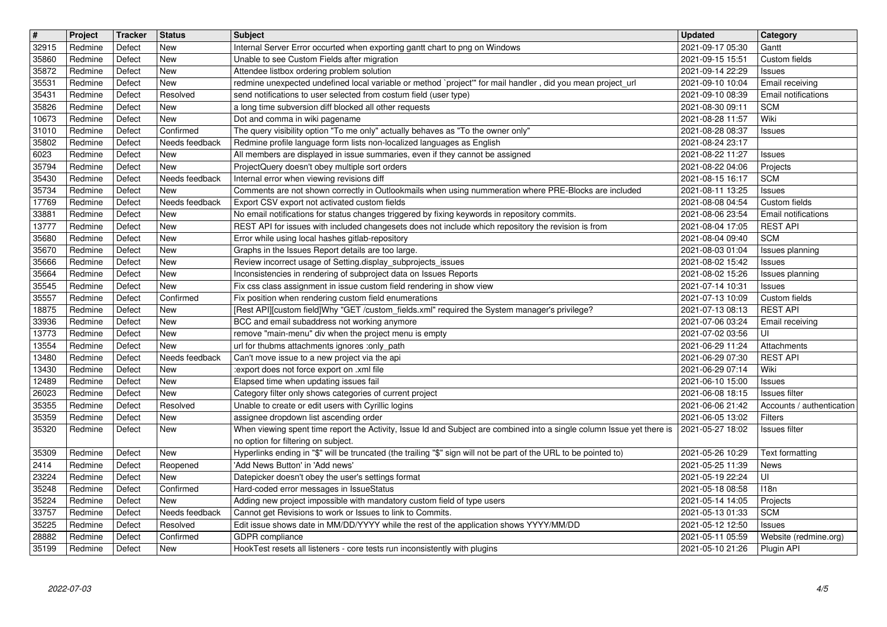| $\overline{\mathbf{H}}$ | Project            | Tracker          | <b>Status</b>         | <b>Subject</b>                                                                                                                                                                                       | <b>Updated</b>                       | Category                                          |
|-------------------------|--------------------|------------------|-----------------------|------------------------------------------------------------------------------------------------------------------------------------------------------------------------------------------------------|--------------------------------------|---------------------------------------------------|
| 32915<br>35860          | Redmine<br>Redmine | Defect<br>Defect | New<br>New            | Internal Server Error occurted when exporting gantt chart to png on Windows<br>Unable to see Custom Fields after migration                                                                           | 2021-09-17 05:30<br>2021-09-15 15:51 | Gantt<br>Custom fields                            |
| 35872<br>35531          | Redmine<br>Redmine | Defect<br>Defect | New<br>New            | Attendee listbox ordering problem solution<br>redmine unexpected undefined local variable or method `project" for mail handler, did you mean project_url                                             | 2021-09-14 22:29<br>2021-09-10 10:04 | Issues<br>Email receiving                         |
| 35431                   | Redmine            | Defect           | Resolved              | send notifications to user selected from costum field (user type)                                                                                                                                    | 2021-09-10 08:39                     | <b>Email notifications</b>                        |
| 35826<br>10673          | Redmine<br>Redmine | Defect<br>Defect | New<br>New            | a long time subversion diff blocked all other requests<br>Dot and comma in wiki pagename                                                                                                             | 2021-08-30 09:11<br>2021-08-28 11:57 | <b>SCM</b><br>Wiki                                |
| 31010                   | Redmine            | Defect           | Confirmed             | The query visibility option "To me only" actually behaves as "To the owner only"                                                                                                                     | 2021-08-28 08:37                     | <b>Issues</b>                                     |
| 35802<br>6023           | Redmine<br>Redmine | Defect<br>Defect | Needs feedback<br>New | Redmine profile language form lists non-localized languages as English<br>All members are displayed in issue summaries, even if they cannot be assigned                                              | 2021-08-24 23:17<br>2021-08-22 11:27 | <b>Issues</b>                                     |
| 35794                   | Redmine            | Defect           | New                   | ProjectQuery doesn't obey multiple sort orders                                                                                                                                                       | 2021-08-22 04:06                     | Projects                                          |
| 35430<br>35734          | Redmine<br>Redmine | Defect<br>Defect | Needs feedback<br>New | Internal error when viewing revisions diff<br>Comments are not shown correctly in Outlookmails when using nummeration where PRE-Blocks are included                                                  | 2021-08-15 16:17<br>2021-08-11 13:25 | <b>SCM</b><br><b>Issues</b>                       |
| 17769                   | Redmine            | Defect           | Needs feedback        | Export CSV export not activated custom fields                                                                                                                                                        | 2021-08-08 04:54                     | Custom fields                                     |
| 33881<br>13777          | Redmine<br>Redmine | Defect<br>Defect | <b>New</b><br>New     | No email notifications for status changes triggered by fixing keywords in repository commits.<br>REST API for issues with included changesets does not include which repository the revision is from | 2021-08-06 23:54<br>2021-08-04 17:05 | Email notifications<br><b>REST API</b>            |
| 35680                   | Redmine            | Defect           | New                   | Error while using local hashes gitlab-repository                                                                                                                                                     | 2021-08-04 09:40                     | <b>SCM</b>                                        |
| 35670<br>35666          | Redmine<br>Redmine | Defect<br>Defect | New<br>New            | Graphs in the Issues Report details are too large.<br>Review incorrect usage of Setting.display_subprojects_issues                                                                                   | 2021-08-03 01:04<br>2021-08-02 15:42 | Issues planning<br><b>Issues</b>                  |
| 35664                   | Redmine            | Defect           | New                   | Inconsistencies in rendering of subproject data on Issues Reports                                                                                                                                    | 2021-08-02 15:26                     | Issues planning                                   |
| 35545<br>35557          | Redmine<br>Redmine | Defect<br>Defect | New<br>Confirmed      | Fix css class assignment in issue custom field rendering in show view<br>Fix position when rendering custom field enumerations                                                                       | 2021-07-14 10:31<br>2021-07-13 10:09 | <b>Issues</b><br>Custom fields                    |
| 18875                   | Redmine            | Defect           | New                   | [Rest API][custom field]Why "GET /custom_fields.xml" required the System manager's privilege?                                                                                                        | 2021-07-13 08:13                     | <b>REST API</b>                                   |
| 33936<br>13773          | Redmine<br>Redmine | Defect<br>Defect | New<br>New            | BCC and email subaddress not working anymore<br>remove "main-menu" div when the project menu is empty                                                                                                | 2021-07-06 03:24<br>2021-07-02 03:56 | Email receiving<br>UI                             |
| 13554                   | Redmine            | Defect           | New                   | url for thubms attachments ignores :only_path                                                                                                                                                        | 2021-06-29 11:24                     | Attachments                                       |
| 13480<br>13430          | Redmine<br>Redmine | Defect<br>Defect | Needs feedback<br>New | Can't move issue to a new project via the api<br>:export does not force export on .xml file                                                                                                          | 2021-06-29 07:30<br>2021-06-29 07:14 | <b>REST API</b><br>Wiki                           |
| 12489                   | Redmine            | Defect           | New                   | Elapsed time when updating issues fail                                                                                                                                                               | 2021-06-10 15:00                     | <b>Issues</b>                                     |
| 26023<br>35355          | Redmine<br>Redmine | Defect<br>Defect | New<br>Resolved       | Category filter only shows categories of current project<br>Unable to create or edit users with Cyrillic logins                                                                                      | 2021-06-08 18:15<br>2021-06-06 21:42 | <b>Issues</b> filter<br>Accounts / authentication |
| 35359                   | Redmine            | Defect           | New                   | assignee dropdown list ascending order                                                                                                                                                               | 2021-06-05 13:02                     | <b>Filters</b>                                    |
| 35320                   | Redmine            | Defect           | New                   | When viewing spent time report the Activity, Issue Id and Subject are combined into a single column Issue yet there is<br>no option for filtering on subject.                                        | 2021-05-27 18:02                     | Issues filter                                     |
| 35309                   | Redmine            | Defect           | New                   | Hyperlinks ending in "\$" will be truncated (the trailing "\$" sign will not be part of the URL to be pointed to)                                                                                    | 2021-05-26 10:29                     | Text formatting                                   |
| 2414<br>23224           | Redmine<br>Redmine | Defect<br>Defect | Reopened<br>New       | 'Add News Button' in 'Add news'<br>Datepicker doesn't obey the user's settings format                                                                                                                | 2021-05-25 11:39<br>2021-05-19 22:24 | News<br>UI                                        |
| 35248                   | Redmine            | Defect           | Confirmed             | Hard-coded error messages in IssueStatus                                                                                                                                                             | 2021-05-18 08:58                     | 118n                                              |
| 35224<br>33757          | Redmine<br>Redmine | Defect<br>Defect | New<br>Needs feedback | Adding new project impossible with mandatory custom field of type users<br>Cannot get Revisions to work or Issues to link to Commits.                                                                | 2021-05-14 14:05<br>2021-05-13 01:33 | Projects<br><b>SCM</b>                            |
| 35225                   | Redmine            | Defect           | Resolved              | Edit issue shows date in MM/DD/YYYY while the rest of the application shows YYYY/MM/DD                                                                                                               | 2021-05-12 12:50                     | <b>Issues</b>                                     |
| 28882<br>35199          | Redmine<br>Redmine | Defect<br>Defect | Confirmed<br>New      | GDPR compliance<br>HookTest resets all listeners - core tests run inconsistently with plugins                                                                                                        | 2021-05-11 05:59<br>2021-05-10 21:26 | Website (redmine.org)<br>Plugin API               |
|                         |                    |                  |                       |                                                                                                                                                                                                      |                                      |                                                   |
|                         |                    |                  |                       |                                                                                                                                                                                                      |                                      |                                                   |
|                         |                    |                  |                       |                                                                                                                                                                                                      |                                      |                                                   |
|                         |                    |                  |                       |                                                                                                                                                                                                      |                                      |                                                   |
|                         |                    |                  |                       |                                                                                                                                                                                                      |                                      |                                                   |
|                         |                    |                  |                       |                                                                                                                                                                                                      |                                      |                                                   |
|                         |                    |                  |                       |                                                                                                                                                                                                      |                                      |                                                   |
|                         |                    |                  |                       |                                                                                                                                                                                                      |                                      |                                                   |
|                         |                    |                  |                       |                                                                                                                                                                                                      |                                      |                                                   |
|                         |                    |                  |                       |                                                                                                                                                                                                      |                                      |                                                   |
|                         |                    |                  |                       |                                                                                                                                                                                                      |                                      |                                                   |
|                         |                    |                  |                       |                                                                                                                                                                                                      |                                      |                                                   |
|                         |                    |                  |                       |                                                                                                                                                                                                      |                                      |                                                   |
|                         |                    |                  |                       |                                                                                                                                                                                                      |                                      |                                                   |
|                         |                    |                  |                       |                                                                                                                                                                                                      |                                      |                                                   |
|                         |                    |                  |                       |                                                                                                                                                                                                      |                                      |                                                   |
|                         |                    |                  |                       |                                                                                                                                                                                                      |                                      |                                                   |
|                         |                    |                  |                       |                                                                                                                                                                                                      |                                      |                                                   |
|                         |                    |                  |                       |                                                                                                                                                                                                      |                                      |                                                   |
|                         |                    |                  |                       |                                                                                                                                                                                                      |                                      |                                                   |
|                         |                    |                  |                       |                                                                                                                                                                                                      |                                      |                                                   |
|                         |                    |                  |                       |                                                                                                                                                                                                      |                                      |                                                   |
|                         |                    |                  |                       |                                                                                                                                                                                                      |                                      |                                                   |
|                         |                    |                  |                       |                                                                                                                                                                                                      |                                      |                                                   |
|                         |                    |                  |                       |                                                                                                                                                                                                      |                                      |                                                   |
|                         |                    |                  |                       |                                                                                                                                                                                                      |                                      |                                                   |
|                         |                    |                  |                       |                                                                                                                                                                                                      |                                      |                                                   |
|                         |                    |                  |                       |                                                                                                                                                                                                      |                                      |                                                   |
|                         |                    |                  |                       |                                                                                                                                                                                                      |                                      |                                                   |
|                         |                    |                  |                       |                                                                                                                                                                                                      |                                      |                                                   |
|                         |                    |                  |                       |                                                                                                                                                                                                      |                                      |                                                   |
|                         |                    |                  |                       |                                                                                                                                                                                                      |                                      |                                                   |
|                         |                    |                  |                       |                                                                                                                                                                                                      |                                      |                                                   |
|                         |                    |                  |                       |                                                                                                                                                                                                      |                                      |                                                   |
|                         |                    |                  |                       |                                                                                                                                                                                                      |                                      |                                                   |